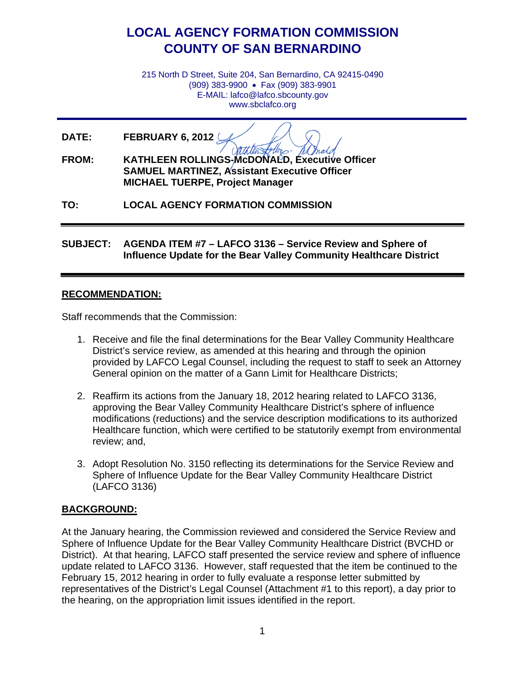## **LOCAL AGENCY FORMATION COMMISSION COUNTY OF SAN BERNARDINO**

215 North D Street, Suite 204, San Bernardino, CA 92415-0490 (909) 383-9900 • Fax (909) 383-9901 E-MAIL: lafco@lafco.sbcounty.gov www.sbclafco.org

**DATE: FEBRUARY 6, 2012**

**FROM: KATHLEEN ROLLINGS-McDONALD, Executive Officer SAMUEL MARTINEZ, Assistant Executive Officer MICHAEL TUERPE, Project Manager**

**TO: LOCAL AGENCY FORMATION COMMISSION**

**SUBJECT: AGENDA ITEM #7 – LAFCO 3136 – Service Review and Sphere of Influence Update for the Bear Valley Community Healthcare District**

## **RECOMMENDATION:**

Staff recommends that the Commission:

- 1. Receive and file the final determinations for the Bear Valley Community Healthcare District's service review, as amended at this hearing and through the opinion provided by LAFCO Legal Counsel, including the request to staff to seek an Attorney General opinion on the matter of a Gann Limit for Healthcare Districts;
- 2. Reaffirm its actions from the January 18, 2012 hearing related to LAFCO 3136, approving the Bear Valley Community Healthcare District's sphere of influence modifications (reductions) and the service description modifications to its authorized Healthcare function, which were certified to be statutorily exempt from environmental review; and,
- 3. Adopt Resolution No. 3150 reflecting its determinations for the Service Review and Sphere of Influence Update for the Bear Valley Community Healthcare District (LAFCO 3136)

## **BACKGROUND:**

At the January hearing, the Commission reviewed and considered the Service Review and Sphere of Influence Update for the Bear Valley Community Healthcare District (BVCHD or District). At that hearing, LAFCO staff presented the service review and sphere of influence update related to LAFCO 3136. However, staff requested that the item be continued to the February 15, 2012 hearing in order to fully evaluate a response letter submitted by representatives of the District's Legal Counsel (Attachment #1 to this report), a day prior to the hearing, on the appropriation limit issues identified in the report.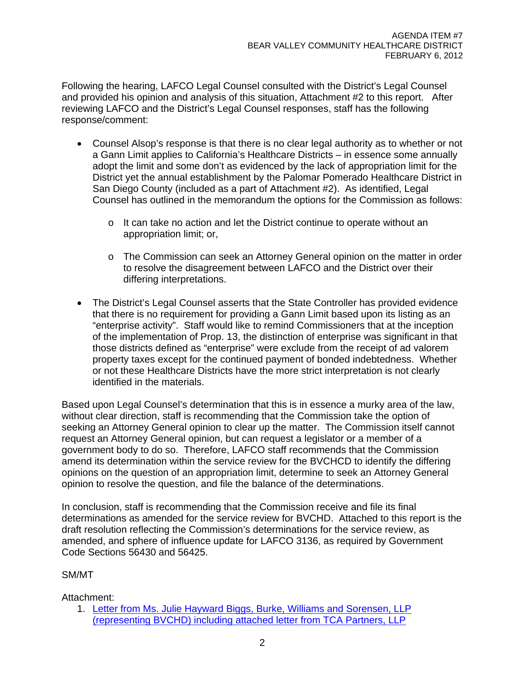Following the hearing, LAFCO Legal Counsel consulted with the District's Legal Counsel and provided his opinion and analysis of this situation, Attachment #2 to this report. After reviewing LAFCO and the District's Legal Counsel responses, staff has the following response/comment:

- Counsel Alsop's response is that there is no clear legal authority as to whether or not a Gann Limit applies to California's Healthcare Districts – in essence some annually adopt the limit and some don't as evidenced by the lack of appropriation limit for the District yet the annual establishment by the Palomar Pomerado Healthcare District in San Diego County (included as a part of Attachment #2). As identified, Legal Counsel has outlined in the memorandum the options for the Commission as follows:
	- o It can take no action and let the District continue to operate without an appropriation limit; or,
	- $\circ$  The Commission can seek an Attorney General opinion on the matter in order to resolve the disagreement between LAFCO and the District over their differing interpretations.
- The District's Legal Counsel asserts that the State Controller has provided evidence that there is no requirement for providing a Gann Limit based upon its listing as an "enterprise activity". Staff would like to remind Commissioners that at the inception of the implementation of Prop. 13, the distinction of enterprise was significant in that those districts defined as "enterprise" were exclude from the receipt of ad valorem property taxes except for the continued payment of bonded indebtedness. Whether or not these Healthcare Districts have the more strict interpretation is not clearly identified in the materials.

Based upon Legal Counsel's determination that this is in essence a murky area of the law, without clear direction, staff is recommending that the Commission take the option of seeking an Attorney General opinion to clear up the matter. The Commission itself cannot request an Attorney General opinion, but can request a legislator or a member of a government body to do so. Therefore, LAFCO staff recommends that the Commission amend its determination within the service review for the BVCHCD to identify the differing opinions on the question of an appropriation limit, determine to seek an Attorney General opinion to resolve the question, and file the balance of the determinations.

In conclusion, staff is recommending that the Commission receive and file its final determinations as amended for the service review for BVCHD. Attached to this report is the draft resolution reflecting the Commission's determinations for the service review, as amended, and sphere of influence update for LAFCO 3136, as required by Government Code Sections 56430 and 56425.

## SM/MT

Attachment:

1. [Letter from Ms. Julie Hayward Biggs, Burke, Williams and Sorensen, LLP](http://www.sbcounty.gov/lafco/items/201202/item_7_1.pdf)  [\(representing BVCHD\) including attached letter from TCA Partners, LLP](http://www.sbcounty.gov/lafco/items/201202/item_7_1.pdf)